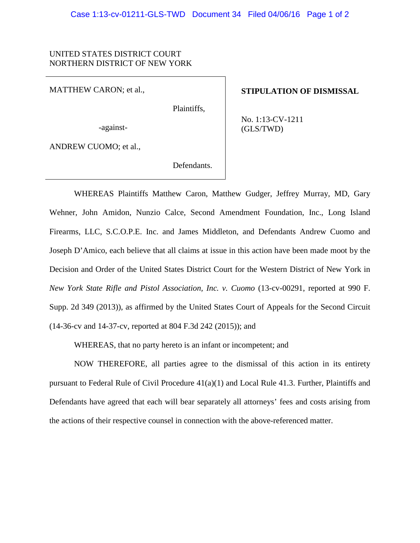## UNITED STATES DISTRICT COURT NORTHERN DISTRICT OF NEW YORK

MATTHEW CARON; et al.,

Plaintiffs,

**STIPULATION OF DISMISSAL**

No. 1:13-CV-1211 (GLS/TWD)

-against-

ANDREW CUOMO; et al.,

Defendants.

WHEREAS Plaintiffs Matthew Caron, Matthew Gudger, Jeffrey Murray, MD, Gary Wehner, John Amidon, Nunzio Calce, Second Amendment Foundation, Inc., Long Island Firearms, LLC, S.C.O.P.E. Inc. and James Middleton, and Defendants Andrew Cuomo and Joseph D'Amico, each believe that all claims at issue in this action have been made moot by the Decision and Order of the United States District Court for the Western District of New York in *New York State Rifle and Pistol Association, Inc. v. Cuomo* (13-cv-00291, reported at 990 F. Supp. 2d 349 (2013)), as affirmed by the United States Court of Appeals for the Second Circuit (14-36-cv and 14-37-cv, reported at 804 F.3d 242 (2015)); and

WHEREAS, that no party hereto is an infant or incompetent; and

NOW THEREFORE, all parties agree to the dismissal of this action in its entirety pursuant to Federal Rule of Civil Procedure 41(a)(1) and Local Rule 41.3. Further, Plaintiffs and Defendants have agreed that each will bear separately all attorneys' fees and costs arising from the actions of their respective counsel in connection with the above-referenced matter.